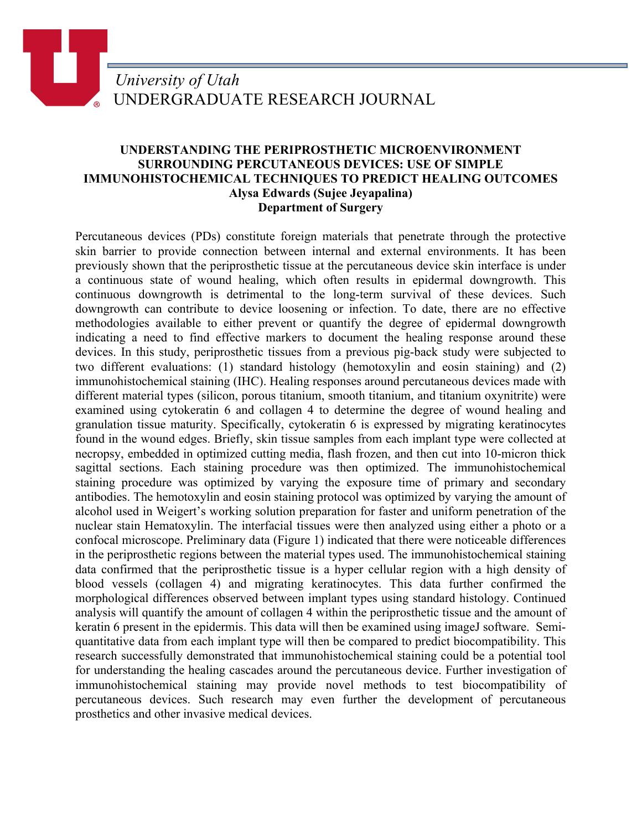## **UNDERSTANDING THE PERIPROSTHETIC MICROENVIRONMENT SURROUNDING PERCUTANEOUS DEVICES: USE OF SIMPLE IMMUNOHISTOCHEMICAL TECHNIQUES TO PREDICT HEALING OUTCOMES Alysa Edwards (Sujee Jeyapalina) Department of Surgery**

Percutaneous devices (PDs) constitute foreign materials that penetrate through the protective skin barrier to provide connection between internal and external environments. It has been previously shown that the periprosthetic tissue at the percutaneous device skin interface is under a continuous state of wound healing, which often results in epidermal downgrowth. This continuous downgrowth is detrimental to the long-term survival of these devices. Such downgrowth can contribute to device loosening or infection. To date, there are no effective methodologies available to either prevent or quantify the degree of epidermal downgrowth indicating a need to find effective markers to document the healing response around these devices. In this study, periprosthetic tissues from a previous pig-back study were subjected to two different evaluations: (1) standard histology (hemotoxylin and eosin staining) and (2) immunohistochemical staining (IHC). Healing responses around percutaneous devices made with different material types (silicon, porous titanium, smooth titanium, and titanium oxynitrite) were examined using cytokeratin 6 and collagen 4 to determine the degree of wound healing and granulation tissue maturity. Specifically, cytokeratin 6 is expressed by migrating keratinocytes found in the wound edges. Briefly, skin tissue samples from each implant type were collected at necropsy, embedded in optimized cutting media, flash frozen, and then cut into 10-micron thick sagittal sections. Each staining procedure was then optimized. The immunohistochemical staining procedure was optimized by varying the exposure time of primary and secondary antibodies. The hemotoxylin and eosin staining protocol was optimized by varying the amount of alcohol used in Weigert's working solution preparation for faster and uniform penetration of the nuclear stain Hematoxylin. The interfacial tissues were then analyzed using either a photo or a confocal microscope. Preliminary data (Figure 1) indicated that there were noticeable differences in the periprosthetic regions between the material types used. The immunohistochemical staining data confirmed that the periprosthetic tissue is a hyper cellular region with a high density of blood vessels (collagen 4) and migrating keratinocytes. This data further confirmed the morphological differences observed between implant types using standard histology. Continued analysis will quantify the amount of collagen 4 within the periprosthetic tissue and the amount of keratin 6 present in the epidermis. This data will then be examined using imageJ software. Semiquantitative data from each implant type will then be compared to predict biocompatibility. This research successfully demonstrated that immunohistochemical staining could be a potential tool for understanding the healing cascades around the percutaneous device. Further investigation of immunohistochemical staining may provide novel methods to test biocompatibility of percutaneous devices. Such research may even further the development of percutaneous prosthetics and other invasive medical devices.